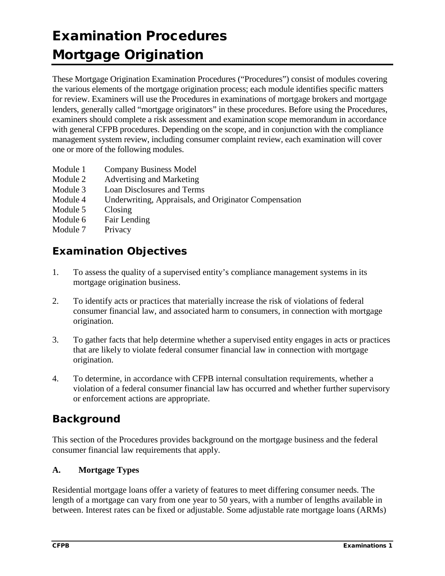These Mortgage Origination Examination Procedures ("Procedures") consist of modules covering the various elements of the mortgage origination process; each module identifies specific matters for review. Examiners will use the Procedures in examinations of mortgage brokers and mortgage lenders, generally called "mortgage originators" in these procedures. Before using the Procedures, examiners should complete a risk assessment and examination scope memorandum in accordance with general CFPB procedures. Depending on the scope, and in conjunction with the compliance management system review, including consumer complaint review, each examination will cover one or more of the following modules.

- Module 1 Company Business Model
- Module 2 Advertising and Marketing
- Module 3 Loan Disclosures and Terms
- Module 4 Underwriting, Appraisals, and Originator Compensation
- Module 5 Closing
- Module 6 Fair Lending
- Module 7 Privacy

# **Examination Objectives**

- 1. To assess the quality of a supervised entity's compliance management systems in its mortgage origination business.
- 2. To identify acts or practices that materially increase the risk of violations of federal consumer financial law, and associated harm to consumers, in connection with mortgage origination.
- 3. To gather facts that help determine whether a supervised entity engages in acts or practices that are likely to violate federal consumer financial law in connection with mortgage origination.
- 4. To determine, in accordance with CFPB internal consultation requirements, whether a violation of a federal consumer financial law has occurred and whether further supervisory or enforcement actions are appropriate.

# **Background**

This section of the Procedures provides background on the mortgage business and the federal consumer financial law requirements that apply.

### **A. Mortgage Types**

<span id="page-0-0"></span>Residential mortgage loans offer a variety of features to meet differing consumer needs. The length of a mortgage can vary from one year to 50 years, with a number of lengths available in between. Interest rates can be fixed or adjustable. Some adjustable rate mortgage loans (ARMs)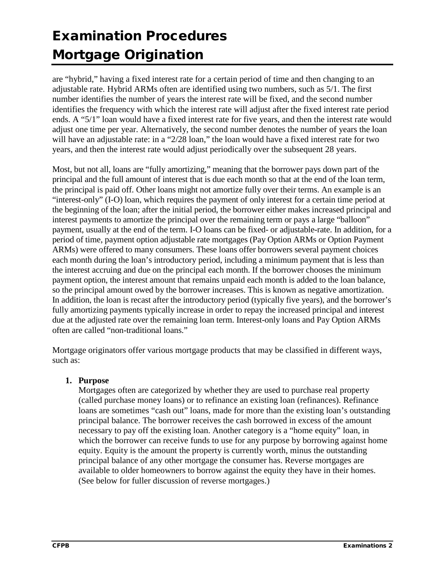are "hybrid," having a fixed interest rate for a certain period of time and then changing to an adjustable rate. Hybrid ARMs often are identified using two numbers, such as 5/1. The first number identifies the number of years the interest rate will be fixed, and the second number identifies the frequency with which the interest rate will adjust after the fixed interest rate period ends. A "5/1" loan would have a fixed interest rate for five years, and then the interest rate would adjust one time per year. Alternatively, the second number denotes the number of years the loan will have an adjustable rate: in a "2/28 loan," the loan would have a fixed interest rate for two years, and then the interest rate would adjust periodically over the subsequent 28 years.

Most, but not all, loans are "fully amortizing," meaning that the borrower pays down part of the principal and the full amount of interest that is due each month so that at the end of the loan term, the principal is paid off. Other loans might not amortize fully over their terms. An example is an "interest-only" (I-O) loan, which requires the payment of only interest for a certain time period at the beginning of the loan; after the initial period, the borrower either makes increased principal and interest payments to amortize the principal over the remaining term or pays a large "balloon" payment, usually at the end of the term. I-O loans can be fixed- or adjustable-rate. In addition, for a period of time, payment option adjustable rate mortgages (Pay Option ARMs or Option Payment ARMs) were offered to many consumers. These loans offer borrowers several payment choices each month during the loan's introductory period, including a minimum payment that is less than the interest accruing and due on the principal each month. If the borrower chooses the minimum payment option, the interest amount that remains unpaid each month is added to the loan balance, so the principal amount owed by the borrower increases. This is known as negative amortization. In addition, the loan is recast after the introductory period (typically five years), and the borrower's fully amortizing payments typically increase in order to repay the increased principal and interest due at the adjusted rate over the remaining loan term. Interest-only loans and Pay Option ARMs often are called "non-traditional loans."

Mortgage originators offer various mortgage products that may be classified in different ways, such as:

### **1. Purpose**

Mortgages often are categorized by whether they are used to purchase real property (called purchase money loans) or to refinance an existing loan (refinances). Refinance loans are sometimes "cash out" loans, made for more than the existing loan's outstanding principal balance. The borrower receives the cash borrowed in excess of the amount necessary to pay off the existing loan. Another category is a "home equity" loan, in which the borrower can receive funds to use for any purpose by borrowing against home equity. Equity is the amount the property is currently worth, minus the outstanding principal balance of any other mortgage the consumer has. Reverse mortgages are available to older homeowners to borrow against the equity they have in their homes. (See below for fuller discussion of reverse mortgages.)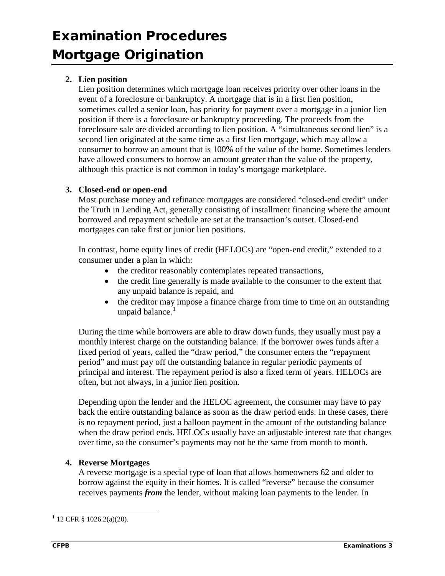## **2. Lien position**

Lien position determines which mortgage loan receives priority over other loans in the event of a foreclosure or bankruptcy. A mortgage that is in a first lien position, sometimes called a senior loan, has priority for payment over a mortgage in a junior lien position if there is a foreclosure or bankruptcy proceeding. The proceeds from the foreclosure sale are divided according to lien position. A "simultaneous second lien" is a second lien originated at the same time as a first lien mortgage, which may allow a consumer to borrow an amount that is 100% of the value of the home. Sometimes lenders have allowed consumers to borrow an amount greater than the value of the property, although this practice is not common in today's mortgage marketplace.

### **3. Closed-end or open-end**

Most purchase money and refinance mortgages are considered "closed-end credit" under the Truth in Lending Act, generally consisting of installment financing where the amount borrowed and repayment schedule are set at the transaction's outset. Closed-end mortgages can take first or junior lien positions.

In contrast, home equity lines of credit (HELOCs) are "open-end credit," extended to a consumer under a plan in which:

- the creditor reasonably contemplates repeated transactions,
- the credit line generally is made available to the consumer to the extent that any unpaid balance is repaid, and
- the creditor may impose a finance charge from time to time on an outstanding unpaid balance.<sup>[1](#page-0-0)</sup>

During the time while borrowers are able to draw down funds, they usually must pay a monthly interest charge on the outstanding balance. If the borrower owes funds after a fixed period of years, called the "draw period," the consumer enters the "repayment period" and must pay off the outstanding balance in regular periodic payments of principal and interest. The repayment period is also a fixed term of years. HELOCs are often, but not always, in a junior lien position.

Depending upon the lender and the HELOC agreement, the consumer may have to pay back the entire outstanding balance as soon as the draw period ends. In these cases, there is no repayment period, just a balloon payment in the amount of the outstanding balance when the draw period ends. HELOCs usually have an adjustable interest rate that changes over time, so the consumer's payments may not be the same from month to month.

# **4. Reverse Mortgages**

A reverse mortgage is a special type of loan that allows homeowners 62 and older to borrow against the equity in their homes. It is called "reverse" because the consumer receives payments *from* the lender, without making loan payments to the lender. In

<span id="page-2-0"></span> $1$  12 CFR § 1026.2(a)(20).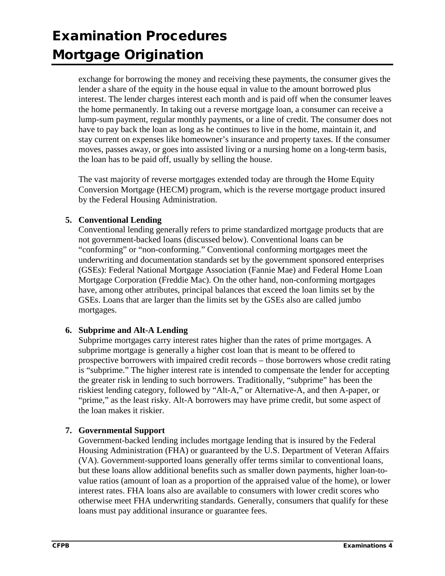exchange for borrowing the money and receiving these payments, the consumer gives the lender a share of the equity in the house equal in value to the amount borrowed plus interest. The lender charges interest each month and is paid off when the consumer leaves the home permanently. In taking out a reverse mortgage loan, a consumer can receive a lump-sum payment, regular monthly payments, or a line of credit. The consumer does not have to pay back the loan as long as he continues to live in the home, maintain it, and stay current on expenses like homeowner's insurance and property taxes. If the consumer moves, passes away, or goes into assisted living or a nursing home on a long-term basis, the loan has to be paid off, usually by selling the house.

The vast majority of reverse mortgages extended today are through the Home Equity Conversion Mortgage (HECM) program, which is the reverse mortgage product insured by the Federal Housing Administration.

### **5. Conventional Lending**

Conventional lending generally refers to prime standardized mortgage products that are not government-backed loans (discussed below). Conventional loans can be "conforming" or "non-conforming." Conventional conforming mortgages meet the underwriting and documentation standards set by the government sponsored enterprises (GSEs): Federal National Mortgage Association (Fannie Mae) and Federal Home Loan Mortgage Corporation (Freddie Mac). On the other hand, non-conforming mortgages have, among other attributes, principal balances that exceed the loan limits set by the GSEs. Loans that are larger than the limits set by the GSEs also are called jumbo mortgages.

# **6. Subprime and Alt-A Lending**

Subprime mortgages carry interest rates higher than the rates of prime mortgages. A subprime mortgage is generally a higher cost loan that is meant to be offered to prospective borrowers with impaired credit records – those borrowers whose credit rating is "subprime." The higher interest rate is intended to compensate the lender for accepting the greater risk in lending to such borrowers. Traditionally, "subprime" has been the riskiest lending category, followed by "Alt-A," or Alternative-A, and then A-paper, or "prime," as the least risky. Alt-A borrowers may have prime credit, but some aspect of the loan makes it riskier.

### **7. Governmental Support**

Government-backed lending includes mortgage lending that is insured by the Federal Housing Administration (FHA) or guaranteed by the U.S. Department of Veteran Affairs (VA). Government-supported loans generally offer terms similar to conventional loans, but these loans allow additional benefits such as smaller down payments, higher loan-tovalue ratios (amount of loan as a proportion of the appraised value of the home), or lower interest rates. FHA loans also are available to consumers with lower credit scores who otherwise meet FHA underwriting standards. Generally, consumers that qualify for these loans must pay additional insurance or guarantee fees.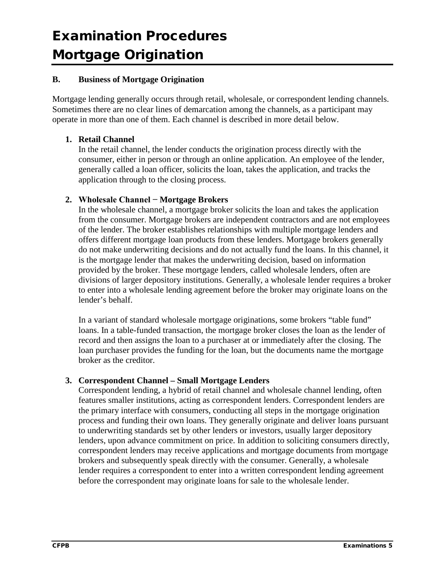### **B. Business of Mortgage Origination**

Mortgage lending generally occurs through retail, wholesale, or correspondent lending channels. Sometimes there are no clear lines of demarcation among the channels, as a participant may operate in more than one of them. Each channel is described in more detail below.

### **1. Retail Channel**

In the retail channel, the lender conducts the origination process directly with the consumer, either in person or through an online application. An employee of the lender, generally called a loan officer, solicits the loan, takes the application, and tracks the application through to the closing process.

### **2. Wholesale Channel − Mortgage Brokers**

In the wholesale channel, a mortgage broker solicits the loan and takes the application from the consumer. Mortgage brokers are independent contractors and are not employees of the lender. The broker establishes relationships with multiple mortgage lenders and offers different mortgage loan products from these lenders. Mortgage brokers generally do not make underwriting decisions and do not actually fund the loans. In this channel, it is the mortgage lender that makes the underwriting decision, based on information provided by the broker. These mortgage lenders, called wholesale lenders, often are divisions of larger depository institutions. Generally, a wholesale lender requires a broker to enter into a wholesale lending agreement before the broker may originate loans on the lender's behalf.

In a variant of standard wholesale mortgage originations, some brokers "table fund" loans. In a table-funded transaction, the mortgage broker closes the loan as the lender of record and then assigns the loan to a purchaser at or immediately after the closing. The loan purchaser provides the funding for the loan, but the documents name the mortgage broker as the creditor.

### **3. Correspondent Channel – Small Mortgage Lenders**

Correspondent lending, a hybrid of retail channel and wholesale channel lending, often features smaller institutions, acting as correspondent lenders. Correspondent lenders are the primary interface with consumers, conducting all steps in the mortgage origination process and funding their own loans. They generally originate and deliver loans pursuant to underwriting standards set by other lenders or investors, usually larger depository lenders, upon advance commitment on price. In addition to soliciting consumers directly, correspondent lenders may receive applications and mortgage documents from mortgage brokers and subsequently speak directly with the consumer. Generally, a wholesale lender requires a correspondent to enter into a written correspondent lending agreement before the correspondent may originate loans for sale to the wholesale lender.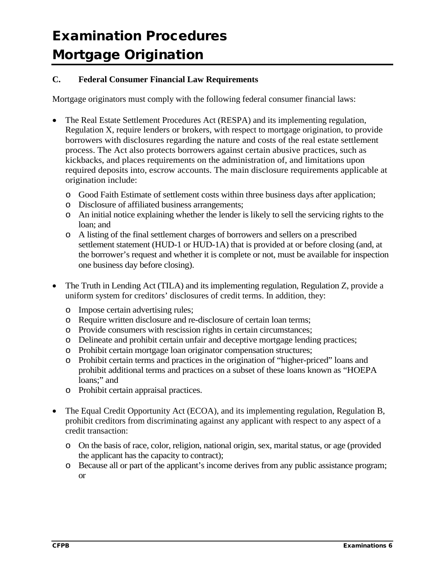# **C. Federal Consumer Financial Law Requirements**

Mortgage originators must comply with the following federal consumer financial laws:

- The Real Estate Settlement Procedures Act (RESPA) and its implementing regulation, Regulation X, require lenders or brokers, with respect to mortgage origination, to provide borrowers with disclosures regarding the nature and costs of the real estate settlement process. The Act also protects borrowers against certain abusive practices, such as kickbacks, and places requirements on the administration of, and limitations upon required deposits into, escrow accounts. The main disclosure requirements applicable at origination include:
	- o Good Faith Estimate of settlement costs within three business days after application;
	- o Disclosure of affiliated business arrangements;
	- o An initial notice explaining whether the lender is likely to sell the servicing rights to the loan; and
	- o A listing of the final settlement charges of borrowers and sellers on a prescribed settlement statement (HUD-1 or HUD-1A) that is provided at or before closing (and, at the borrower's request and whether it is complete or not, must be available for inspection one business day before closing).
- The Truth in Lending Act (TILA) and its implementing regulation, Regulation Z, provide a uniform system for creditors' disclosures of credit terms. In addition, they:
	- o Impose certain advertising rules;
	- o Require written disclosure and re-disclosure of certain loan terms;
	- o Provide consumers with rescission rights in certain circumstances;
	- o Delineate and prohibit certain unfair and deceptive mortgage lending practices;
	- o Prohibit certain mortgage loan originator compensation structures;
	- o Prohibit certain terms and practices in the origination of "higher-priced" loans and prohibit additional terms and practices on a subset of these loans known as "HOEPA loans;" and
	- o Prohibit certain appraisal practices.
- The Equal Credit Opportunity Act (ECOA), and its implementing regulation, Regulation B, prohibit creditors from discriminating against any applicant with respect to any aspect of a credit transaction:
	- o On the basis of race, color, religion, national origin, sex, marital status, or age (provided the applicant has the capacity to contract);
	- o Because all or part of the applicant's income derives from any public assistance program; or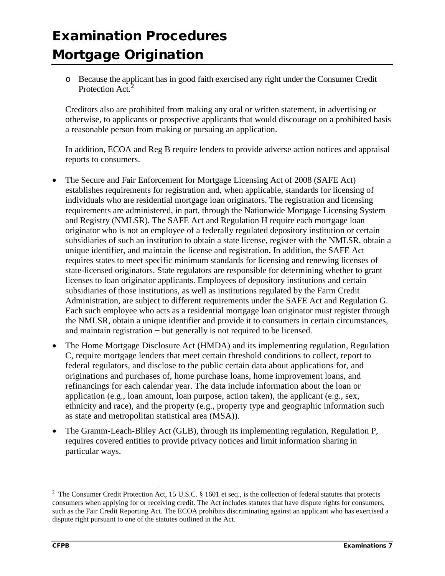o Because the applicant has in good faith exercised any right under the Consumer Credit Protection Act.<sup>[2](#page-2-0)</sup>

Creditors also are prohibited from making any oral or written statement, in advertising or otherwise, to applicants or prospective applicants that would discourage on a prohibited basis a reasonable person from making or pursuing an application.

In addition, ECOA and Reg B require lenders to provide adverse action notices and appraisal reports to consumers.

- The Secure and Fair Enforcement for Mortgage Licensing Act of 2008 (SAFE Act) establishes requirements for registration and, when applicable, standards for licensing of individuals who are residential mortgage loan originators. The registration and licensing requirements are administered, in part, through the Nationwide Mortgage Licensing System and Registry (NMLSR). The SAFE Act and Regulation H require each mortgage loan originator who is not an employee of a federally regulated depository institution or certain subsidiaries of such an institution to obtain a state license, register with the NMLSR, obtain a unique identifier, and maintain the license and registration. In addition, the SAFE Act requires states to meet specific minimum standards for licensing and renewing licenses of state-licensed originators. State regulators are responsible for determining whether to grant licenses to loan originator applicants. Employees of depository institutions and certain subsidiaries of those institutions, as well as institutions regulated by the Farm Credit Administration, are subject to different requirements under the SAFE Act and Regulation G. Each such employee who acts as a residential mortgage loan originator must register through the NMLSR, obtain a unique identifier and provide it to consumers in certain circumstances, and maintain registration − but generally is not required to be licensed.
- The Home Mortgage Disclosure Act (HMDA) and its implementing regulation, Regulation C, require mortgage lenders that meet certain threshold conditions to collect, report to federal regulators, and disclose to the public certain data about applications for, and originations and purchases of, home purchase loans, home improvement loans, and refinancings for each calendar year. The data include information about the loan or application (e.g., loan amount, loan purpose, action taken), the applicant (e.g., sex, ethnicity and race), and the property (e.g., property type and geographic information such as state and metropolitan statistical area (MSA)).
- The Gramm-Leach-Bliley Act (GLB), through its implementing regulation, Regulation P, requires covered entities to provide privacy notices and limit information sharing in particular ways.

<span id="page-6-0"></span> $\frac{1}{2}$ <sup>2</sup> The Consumer Credit Protection Act, 15 U.S.C. § 1601 et seq., is the collection of federal statutes that protects consumers when applying for or receiving credit. The Act includes statutes that have dispute rights for consumers, such as the Fair Credit Reporting Act. The ECOA prohibits discriminating against an applicant who has exercised a dispute right pursuant to one of the statutes outlined in the Act.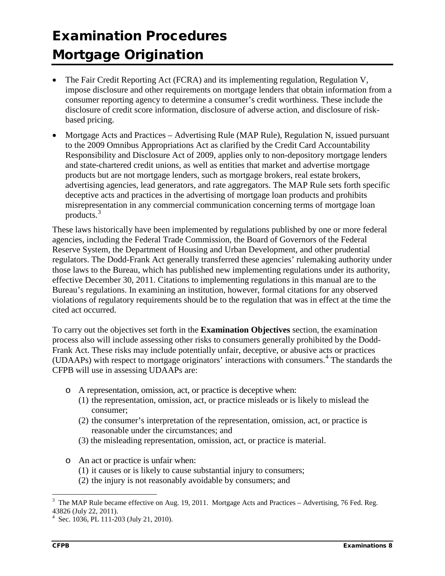- The Fair Credit Reporting Act (FCRA) and its implementing regulation, Regulation V, impose disclosure and other requirements on mortgage lenders that obtain information from a consumer reporting agency to determine a consumer's credit worthiness. These include the disclosure of credit score information, disclosure of adverse action, and disclosure of riskbased pricing.
- Mortgage Acts and Practices Advertising Rule (MAP Rule), Regulation N, issued pursuant to the 2009 Omnibus Appropriations Act as clarified by the Credit Card Accountability Responsibility and Disclosure Act of 2009, applies only to non-depository mortgage lenders and state-chartered credit unions, as well as entities that market and advertise mortgage products but are not mortgage lenders, such as mortgage brokers, real estate brokers, advertising agencies, lead generators, and rate aggregators. The MAP Rule sets forth specific deceptive acts and practices in the advertising of mortgage loan products and prohibits misrepresentation in any commercial communication concerning terms of mortgage loan products. $3$

These laws historically have been implemented by regulations published by one or more federal agencies, including the Federal Trade Commission, the Board of Governors of the Federal Reserve System, the Department of Housing and Urban Development, and other prudential regulators. The Dodd-Frank Act generally transferred these agencies' rulemaking authority under those laws to the Bureau, which has published new implementing regulations under its authority, effective December 30, 2011. Citations to implementing regulations in this manual are to the Bureau's regulations. In examining an institution, however, formal citations for any observed violations of regulatory requirements should be to the regulation that was in effect at the time the cited act occurred.

To carry out the objectives set forth in the **Examination Objectives** section, the examination process also will include assessing other risks to consumers generally prohibited by the Dodd-Frank Act. These risks may include potentially unfair, deceptive, or abusive acts or practices (UDAAPs) with respect to mortgage originators' interactions with consumers.<sup>[4](#page-7-0)</sup> The standards the CFPB will use in assessing UDAAPs are:

- o A representation, omission, act, or practice is deceptive when:
	- (1) the representation, omission, act, or practice misleads or is likely to mislead the consumer;
	- (2) the consumer's interpretation of the representation, omission, act, or practice is reasonable under the circumstances; and
	- (3) the misleading representation, omission, act, or practice is material.
- o An act or practice is unfair when:
	- (1) it causes or is likely to cause substantial injury to consumers;
	- (2) the injury is not reasonably avoidable by consumers; and

<sup>&</sup>lt;sup>2</sup><br>3 <sup>3</sup> The MAP Rule became effective on Aug. 19, 2011. Mortgage Acts and Practices – Advertising, 76 Fed. Reg. 43826 (July 22, 2011).

<span id="page-7-1"></span><span id="page-7-0"></span> $4$  Sec. 1036, PL 111-203 (July 21, 2010).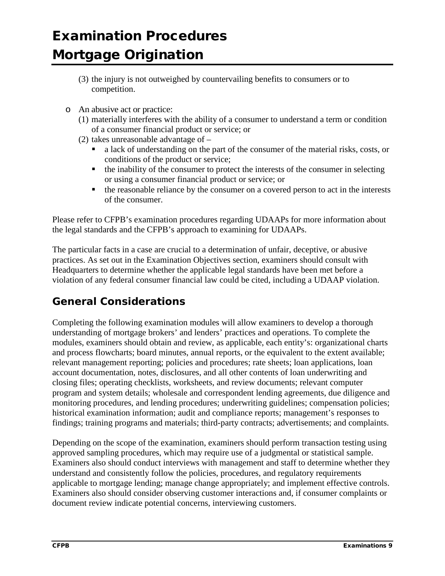- (3) the injury is not outweighed by countervailing benefits to consumers or to competition.
- o An abusive act or practice:
	- (1) materially interferes with the ability of a consumer to understand a term or condition of a consumer financial product or service; or
	- (2) takes unreasonable advantage of
		- a lack of understanding on the part of the consumer of the material risks, costs, or conditions of the product or service;
		- $\blacksquare$  the inability of the consumer to protect the interests of the consumer in selecting or using a consumer financial product or service; or
		- the reasonable reliance by the consumer on a covered person to act in the interests of the consumer.

Please refer to CFPB's examination procedures regarding UDAAPs for more information about the legal standards and the CFPB's approach to examining for UDAAPs.

The particular facts in a case are crucial to a determination of unfair, deceptive, or abusive practices. As set out in the Examination Objectives section, examiners should consult with Headquarters to determine whether the applicable legal standards have been met before a violation of any federal consumer financial law could be cited, including a UDAAP violation.

# **General Considerations**

Completing the following examination modules will allow examiners to develop a thorough understanding of mortgage brokers' and lenders' practices and operations. To complete the modules, examiners should obtain and review, as applicable, each entity's: organizational charts and process flowcharts; board minutes, annual reports, or the equivalent to the extent available; relevant management reporting; policies and procedures; rate sheets; loan applications, loan account documentation, notes, disclosures, and all other contents of loan underwriting and closing files; operating checklists, worksheets, and review documents; relevant computer program and system details; wholesale and correspondent lending agreements, due diligence and monitoring procedures, and lending procedures; underwriting guidelines; compensation policies; historical examination information; audit and compliance reports; management's responses to findings; training programs and materials; third-party contracts; advertisements; and complaints.

Depending on the scope of the examination, examiners should perform transaction testing using approved sampling procedures, which may require use of a judgmental or statistical sample. Examiners also should conduct interviews with management and staff to determine whether they understand and consistently follow the policies, procedures, and regulatory requirements applicable to mortgage lending; manage change appropriately; and implement effective controls. Examiners also should consider observing customer interactions and, if consumer complaints or document review indicate potential concerns, interviewing customers.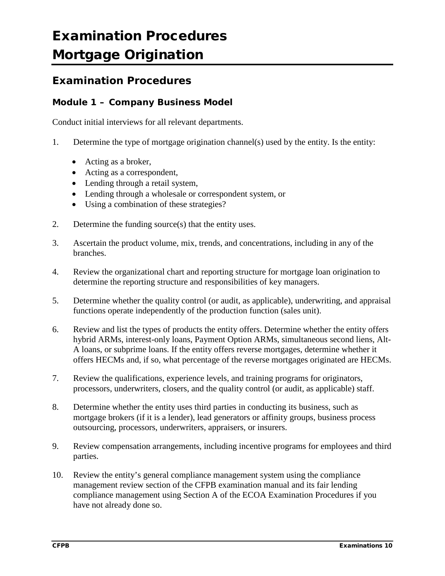# **Examination Procedures**

# **Module 1 – Company Business Model**

Conduct initial interviews for all relevant departments.

- 1. Determine the type of mortgage origination channel(s) used by the entity. Is the entity:
	- Acting as a broker,
	- Acting as a correspondent,
	- Lending through a retail system,
	- Lending through a wholesale or correspondent system, or
	- Using a combination of these strategies?
- 2. Determine the funding source(s) that the entity uses.
- 3. Ascertain the product volume, mix, trends, and concentrations, including in any of the branches.
- 4. Review the organizational chart and reporting structure for mortgage loan origination to determine the reporting structure and responsibilities of key managers.
- 5. Determine whether the quality control (or audit, as applicable), underwriting, and appraisal functions operate independently of the production function (sales unit).
- 6. Review and list the types of products the entity offers. Determine whether the entity offers hybrid ARMs, interest-only loans, Payment Option ARMs, simultaneous second liens, Alt-A loans, or subprime loans. If the entity offers reverse mortgages, determine whether it offers HECMs and, if so, what percentage of the reverse mortgages originated are HECMs.
- 7. Review the qualifications, experience levels, and training programs for originators, processors, underwriters, closers, and the quality control (or audit, as applicable) staff.
- 8. Determine whether the entity uses third parties in conducting its business, such as mortgage brokers (if it is a lender), lead generators or affinity groups, business process outsourcing, processors, underwriters, appraisers, or insurers.
- 9. Review compensation arrangements, including incentive programs for employees and third parties.
- 10. Review the entity's general compliance management system using the compliance management review section of the CFPB examination manual and its fair lending compliance management using Section A of the ECOA Examination Procedures if you have not already done so.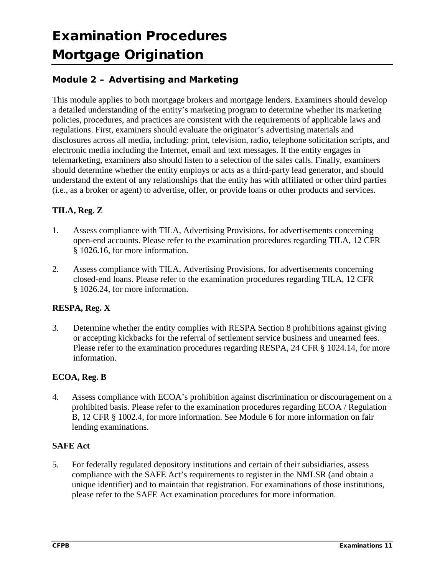# **Module 2 – Advertising and Marketing**

This module applies to both mortgage brokers and mortgage lenders. Examiners should develop a detailed understanding of the entity's marketing program to determine whether its marketing policies, procedures, and practices are consistent with the requirements of applicable laws and regulations. First, examiners should evaluate the originator's advertising materials and disclosures across all media, including: print, television, radio, telephone solicitation scripts, and electronic media including the Internet, email and text messages. If the entity engages in telemarketing, examiners also should listen to a selection of the sales calls. Finally, examiners should determine whether the entity employs or acts as a third-party lead generator, and should understand the extent of any relationships that the entity has with affiliated or other third parties (i.e., as a broker or agent) to advertise, offer, or provide loans or other products and services.

# **TILA, Reg. Z**

- 1. Assess compliance with TILA, Advertising Provisions, for advertisements concerning open-end accounts. Please refer to the examination procedures regarding TILA, 12 CFR § 1026.16, for more information.
- 2. Assess compliance with TILA, Advertising Provisions, for advertisements concerning closed-end loans. Please refer to the examination procedures regarding TILA, 12 CFR § 1026.24, for more information.

### **RESPA, Reg. X**

3. Determine whether the entity complies with RESPA Section 8 prohibitions against giving or accepting kickbacks for the referral of settlement service business and unearned fees. Please refer to the examination procedures regarding RESPA, 24 CFR § 1024.14, for more information.

### **ECOA, Reg. B**

4. Assess compliance with ECOA's prohibition against discrimination or discouragement on a prohibited basis. Please refer to the examination procedures regarding ECOA / Regulation B, 12 CFR § 1002.4, for more information. See Module 6 for more information on fair lending examinations.

#### **SAFE Act**

5. For federally regulated depository institutions and certain of their subsidiaries, assess compliance with the SAFE Act's requirements to register in the NMLSR (and obtain a unique identifier) and to maintain that registration. For examinations of those institutions, please refer to the SAFE Act examination procedures for more information.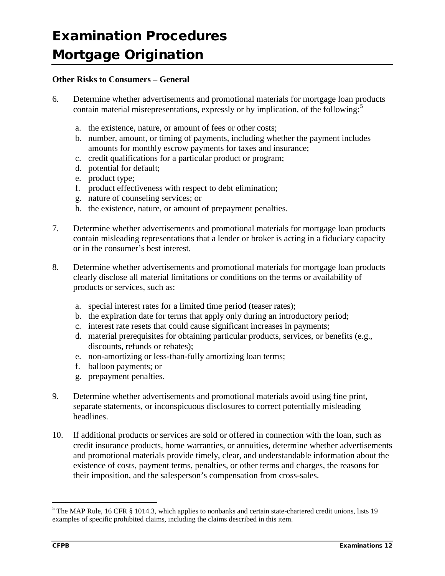#### **Other Risks to Consumers – General**

- 6. Determine whether advertisements and promotional materials for mortgage loan products contain material misrepresentations, expressly or by implication, of the following:<sup>[5](#page-7-1)</sup>
	- a. the existence, nature, or amount of fees or other costs;
	- b. number, amount, or timing of payments, including whether the payment includes amounts for monthly escrow payments for taxes and insurance;
	- c. credit qualifications for a particular product or program;
	- d. potential for default;
	- e. product type;
	- f. product effectiveness with respect to debt elimination;
	- g. nature of counseling services; or
	- h. the existence, nature, or amount of prepayment penalties.
- 7. Determine whether advertisements and promotional materials for mortgage loan products contain misleading representations that a lender or broker is acting in a fiduciary capacity or in the consumer's best interest.
- 8. Determine whether advertisements and promotional materials for mortgage loan products clearly disclose all material limitations or conditions on the terms or availability of products or services, such as:
	- a. special interest rates for a limited time period (teaser rates);
	- b. the expiration date for terms that apply only during an introductory period;
	- c. interest rate resets that could cause significant increases in payments;
	- d. material prerequisites for obtaining particular products, services, or benefits (e.g., discounts, refunds or rebates);
	- e. non-amortizing or less-than-fully amortizing loan terms;
	- f. balloon payments; or
	- g. prepayment penalties.
- 9. Determine whether advertisements and promotional materials avoid using fine print, separate statements, or inconspicuous disclosures to correct potentially misleading headlines.
- <span id="page-11-0"></span>10. If additional products or services are sold or offered in connection with the loan, such as credit insurance products, home warranties, or annuities, determine whether advertisements and promotional materials provide timely, clear, and understandable information about the existence of costs, payment terms, penalties, or other terms and charges, the reasons for their imposition, and the salesperson's compensation from cross-sales.

 <sup>5</sup> The MAP Rule, 16 CFR § 1014.3, which applies to nonbanks and certain state-chartered credit unions, lists 19 examples of specific prohibited claims, including the claims described in this item.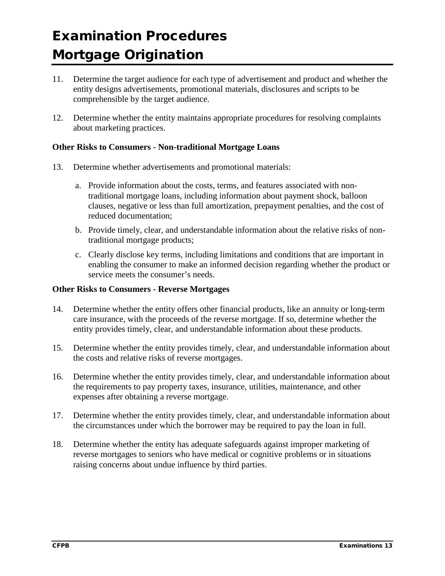- 11. Determine the target audience for each type of advertisement and product and whether the entity designs advertisements, promotional materials, disclosures and scripts to be comprehensible by the target audience.
- 12. Determine whether the entity maintains appropriate procedures for resolving complaints about marketing practices.

#### **Other Risks to Consumers - Non-traditional Mortgage Loans**

- 13. Determine whether advertisements and promotional materials:
	- a. Provide information about the costs, terms, and features associated with nontraditional mortgage loans, including information about payment shock, balloon clauses, negative or less than full amortization, prepayment penalties, and the cost of reduced documentation;
	- b. Provide timely, clear, and understandable information about the relative risks of nontraditional mortgage products;
	- c. Clearly disclose key terms, including limitations and conditions that are important in enabling the consumer to make an informed decision regarding whether the product or service meets the consumer's needs.

#### **Other Risks to Consumers - Reverse Mortgages**

- 14. Determine whether the entity offers other financial products, like an annuity or long-term care insurance, with the proceeds of the reverse mortgage. If so, determine whether the entity provides timely, clear, and understandable information about these products.
- 15. Determine whether the entity provides timely, clear, and understandable information about the costs and relative risks of reverse mortgages.
- 16. Determine whether the entity provides timely, clear, and understandable information about the requirements to pay property taxes, insurance, utilities, maintenance, and other expenses after obtaining a reverse mortgage.
- 17. Determine whether the entity provides timely, clear, and understandable information about the circumstances under which the borrower may be required to pay the loan in full.
- 18. Determine whether the entity has adequate safeguards against improper marketing of reverse mortgages to seniors who have medical or cognitive problems or in situations raising concerns about undue influence by third parties.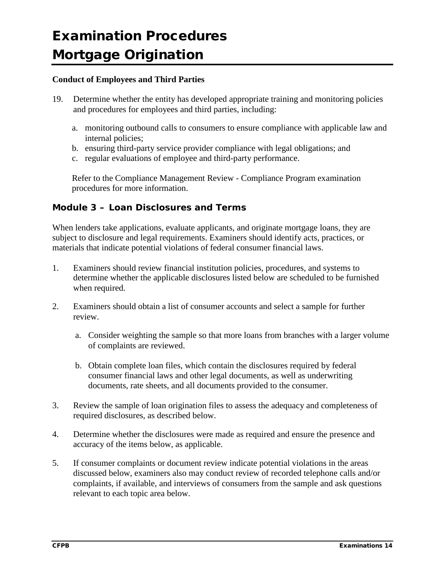### **Conduct of Employees and Third Parties**

- 19. Determine whether the entity has developed appropriate training and monitoring policies and procedures for employees and third parties, including:
	- a. monitoring outbound calls to consumers to ensure compliance with applicable law and internal policies;
	- b. ensuring third-party service provider compliance with legal obligations; and
	- c. regular evaluations of employee and third-party performance.

Refer to the Compliance Management Review - Compliance Program examination procedures for more information.

# **Module 3 – Loan Disclosures and Terms**

When lenders take applications, evaluate applicants, and originate mortgage loans, they are subject to disclosure and legal requirements. Examiners should identify acts, practices, or materials that indicate potential violations of federal consumer financial laws.

- 1. Examiners should review financial institution policies, procedures, and systems to determine whether the applicable disclosures listed below are scheduled to be furnished when required.
- 2. Examiners should obtain a list of consumer accounts and select a sample for further review.
	- a. Consider weighting the sample so that more loans from branches with a larger volume of complaints are reviewed.
	- b. Obtain complete loan files, which contain the disclosures required by federal consumer financial laws and other legal documents, as well as underwriting documents, rate sheets, and all documents provided to the consumer.
- 3. Review the sample of loan origination files to assess the adequacy and completeness of required disclosures, as described below.
- 4. Determine whether the disclosures were made as required and ensure the presence and accuracy of the items below, as applicable.
- 5. If consumer complaints or document review indicate potential violations in the areas discussed below, examiners also may conduct review of recorded telephone calls and/or complaints, if available, and interviews of consumers from the sample and ask questions relevant to each topic area below.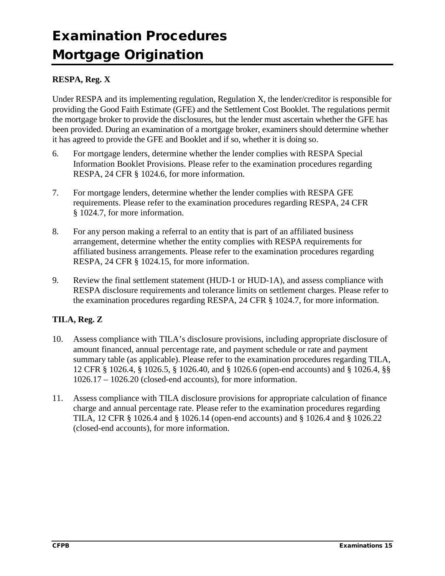# **RESPA, Reg. X**

Under RESPA and its implementing regulation, Regulation X, the lender/creditor is responsible for providing the Good Faith Estimate (GFE) and the Settlement Cost Booklet. The regulations permit the mortgage broker to provide the disclosures, but the lender must ascertain whether the GFE has been provided. During an examination of a mortgage broker, examiners should determine whether it has agreed to provide the GFE and Booklet and if so, whether it is doing so.

- 6. For mortgage lenders, determine whether the lender complies with RESPA Special Information Booklet Provisions. Please refer to the examination procedures regarding RESPA, 24 CFR § 1024.6, for more information.
- 7. For mortgage lenders, determine whether the lender complies with RESPA GFE requirements. Please refer to the examination procedures regarding RESPA, 24 CFR § 1024.7, for more information.
- 8. For any person making a referral to an entity that is part of an affiliated business arrangement, determine whether the entity complies with RESPA requirements for affiliated business arrangements. Please refer to the examination procedures regarding RESPA, 24 CFR § 1024.15, for more information.
- 9. Review the final settlement statement (HUD-1 or HUD-1A), and assess compliance with RESPA disclosure requirements and tolerance limits on settlement charges. Please refer to the examination procedures regarding RESPA, 24 CFR § 1024.7, for more information.

### **TILA, Reg. Z**

- 10. Assess compliance with TILA's disclosure provisions, including appropriate disclosure of amount financed, annual percentage rate, and payment schedule or rate and payment summary table (as applicable). Please refer to the examination procedures regarding TILA, 12 CFR § 1026.4, § 1026.5, § 1026.40, and § 1026.6 (open-end accounts) and § 1026.4, §§ 1026.17 – 1026.20 (closed-end accounts), for more information.
- 11. Assess compliance with TILA disclosure provisions for appropriate calculation of finance charge and annual percentage rate. Please refer to the examination procedures regarding TILA, 12 CFR § 1026.4 and § 1026.14 (open-end accounts) and § 1026.4 and § 1026.22 (closed-end accounts), for more information.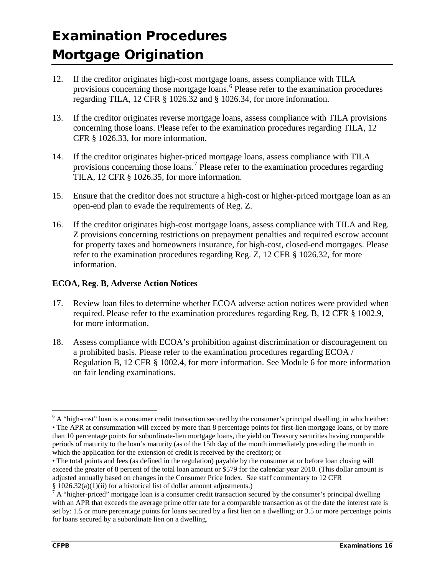- 12. If the creditor originates high-cost mortgage loans, assess compliance with TILA provisions concerning those mortgage loans.<sup>[6](#page-11-0)</sup> Please refer to the examination procedures regarding TILA, 12 CFR § 1026.32 and § 1026.34, for more information.
- 13. If the creditor originates reverse mortgage loans, assess compliance with TILA provisions concerning those loans. Please refer to the examination procedures regarding TILA, 12 CFR § 1026.33, for more information.
- 14. If the creditor originates higher-priced mortgage loans, assess compliance with TILA provisions concerning those loans.<sup>[7](#page-15-0)</sup> Please refer to the examination procedures regarding TILA, 12 CFR § 1026.35, for more information.
- 15. Ensure that the creditor does not structure a high-cost or higher-priced mortgage loan as an open-end plan to evade the requirements of Reg. Z.
- 16. If the creditor originates high-cost mortgage loans, assess compliance with TILA and Reg. Z provisions concerning restrictions on prepayment penalties and required escrow account for property taxes and homeowners insurance, for high-cost, closed-end mortgages. Please refer to the examination procedures regarding Reg. Z, 12 CFR § 1026.32, for more information.

## **ECOA, Reg. B, Adverse Action Notices**

- 17. Review loan files to determine whether ECOA adverse action notices were provided when required. Please refer to the examination procedures regarding Reg. B, 12 CFR § 1002.9, for more information.
- 18. Assess compliance with ECOA's prohibition against discrimination or discouragement on a prohibited basis. Please refer to the examination procedures regarding ECOA / Regulation B, 12 CFR § 1002.4, for more information. See Module 6 for more information on fair lending examinations.

 $6$  A "high-cost" loan is a consumer credit transaction secured by the consumer's principal dwelling, in which either: • The APR at consummation will exceed by more than 8 percentage points for first-lien mortgage loans, or by more than 10 percentage points for subordinate-lien mortgage loans, the yield on Treasury securities having comparable periods of maturity to the loan's maturity (as of the 15th day of the month immediately preceding the month in which the application for the extension of credit is received by the creditor); or

<sup>•</sup> The total points and fees (as defined in the regulation) payable by the consumer at or before loan closing will exceed the greater of 8 percent of the total loan amount or \$579 for the calendar year 2010. (This dollar amount is adjusted annually based on changes in the Consumer Price Index. See staff commentary to 12 CFR

<span id="page-15-1"></span><span id="page-15-0"></span><sup>§ 1026.32(</sup>a)(1)(ii) for a historical list of dollar amount adjustments.)<br>
<sup>7</sup> A "higher-priced" mortgage loan is a consumer credit transaction secured by the consumer's principal dwelling with an APR that exceeds the average prime offer rate for a comparable transaction as of the date the interest rate is set by: 1.5 or more percentage points for loans secured by a first lien on a dwelling; or 3.5 or more percentage points for loans secured by a subordinate lien on a dwelling.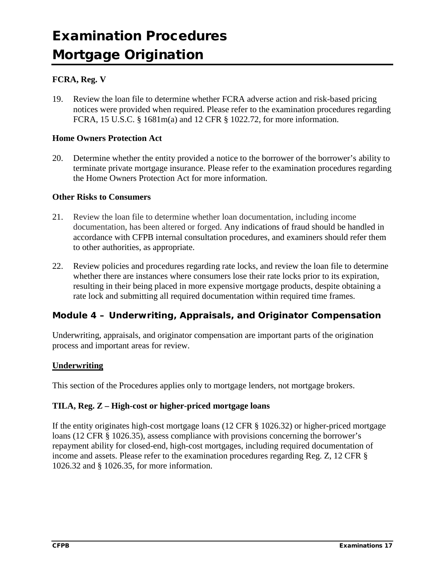## **FCRA, Reg. V**

19. Review the loan file to determine whether FCRA adverse action and risk-based pricing notices were provided when required. Please refer to the examination procedures regarding FCRA, 15 U.S.C. § 1681m(a) and 12 CFR § 1022.72, for more information.

#### **Home Owners Protection Act**

20. Determine whether the entity provided a notice to the borrower of the borrower's ability to terminate private mortgage insurance. Please refer to the examination procedures regarding the Home Owners Protection Act for more information.

#### **Other Risks to Consumers**

- 21. Review the loan file to determine whether loan documentation, including income documentation, has been altered or forged. Any indications of fraud should be handled in accordance with CFPB internal consultation procedures, and examiners should refer them to other authorities, as appropriate.
- 22. Review policies and procedures regarding rate locks, and review the loan file to determine whether there are instances where consumers lose their rate locks prior to its expiration, resulting in their being placed in more expensive mortgage products, despite obtaining a rate lock and submitting all required documentation within required time frames.

### **Module 4 – Underwriting, Appraisals, and Originator Compensation**

Underwriting, appraisals, and originator compensation are important parts of the origination process and important areas for review.

#### **Underwriting**

This section of the Procedures applies only to mortgage lenders, not mortgage brokers.

#### **TILA, Reg. Z – High-cost or higher-priced mortgage loans**

If the entity originates high-cost mortgage loans (12 CFR § 1026.32) or higher-priced mortgage loans (12 CFR § 1026.35), assess compliance with provisions concerning the borrower's repayment ability for closed-end, high-cost mortgages, including required documentation of income and assets. Please refer to the examination procedures regarding Reg. Z, 12 CFR § 1026.32 and § 1026.35, for more information.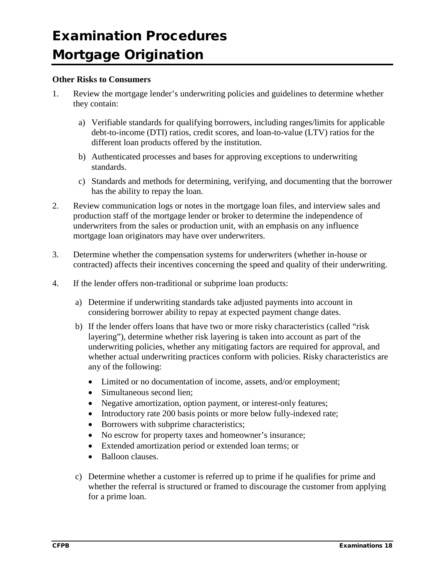#### **Other Risks to Consumers**

- 1. Review the mortgage lender's underwriting policies and guidelines to determine whether they contain:
	- a) Verifiable standards for qualifying borrowers, including ranges/limits for applicable debt-to-income (DTI) ratios, credit scores, and loan-to-value (LTV) ratios for the different loan products offered by the institution.
	- b) Authenticated processes and bases for approving exceptions to underwriting standards.
	- c) Standards and methods for determining, verifying, and documenting that the borrower has the ability to repay the loan.
- 2. Review communication logs or notes in the mortgage loan files, and interview sales and production staff of the mortgage lender or broker to determine the independence of underwriters from the sales or production unit, with an emphasis on any influence mortgage loan originators may have over underwriters.
- 3. Determine whether the compensation systems for underwriters (whether in-house or contracted) affects their incentives concerning the speed and quality of their underwriting.
- 4. If the lender offers non-traditional or subprime loan products:
	- a) Determine if underwriting standards take adjusted payments into account in considering borrower ability to repay at expected payment change dates.
	- b) If the lender offers loans that have two or more risky characteristics (called "risk layering"), determine whether risk layering is taken into account as part of the underwriting policies, whether any mitigating factors are required for approval, and whether actual underwriting practices conform with policies. Risky characteristics are any of the following:
		- Limited or no documentation of income, assets, and/or employment;
		- Simultaneous second lien;
		- Negative amortization, option payment, or interest-only features;
		- Introductory rate 200 basis points or more below fully-indexed rate;
		- Borrowers with subprime characteristics;
		- No escrow for property taxes and homeowner's insurance;
		- Extended amortization period or extended loan terms; or
		- Balloon clauses.
	- c) Determine whether a customer is referred up to prime if he qualifies for prime and whether the referral is structured or framed to discourage the customer from applying for a prime loan.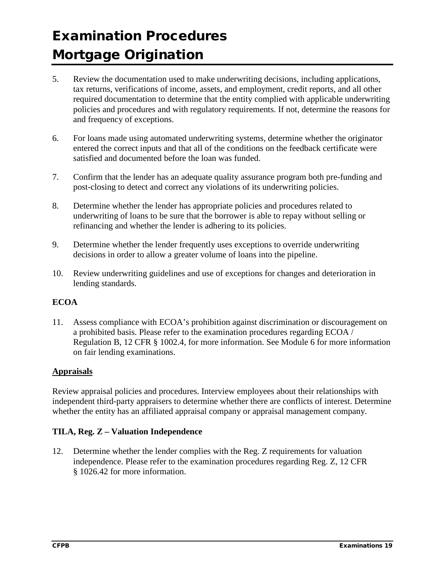- 5. Review the documentation used to make underwriting decisions, including applications, tax returns, verifications of income, assets, and employment, credit reports, and all other required documentation to determine that the entity complied with applicable underwriting policies and procedures and with regulatory requirements. If not, determine the reasons for and frequency of exceptions.
- 6. For loans made using automated underwriting systems, determine whether the originator entered the correct inputs and that all of the conditions on the feedback certificate were satisfied and documented before the loan was funded.
- 7. Confirm that the lender has an adequate quality assurance program both pre-funding and post-closing to detect and correct any violations of its underwriting policies.
- 8. Determine whether the lender has appropriate policies and procedures related to underwriting of loans to be sure that the borrower is able to repay without selling or refinancing and whether the lender is adhering to its policies.
- 9. Determine whether the lender frequently uses exceptions to override underwriting decisions in order to allow a greater volume of loans into the pipeline.
- 10. Review underwriting guidelines and use of exceptions for changes and deterioration in lending standards.

### **ECOA**

11. Assess compliance with ECOA's prohibition against discrimination or discouragement on a prohibited basis. Please refer to the examination procedures regarding ECOA / Regulation B, 12 CFR § 1002.4, for more information. See Module 6 for more information on fair lending examinations.

### **Appraisals**

Review appraisal policies and procedures. Interview employees about their relationships with independent third-party appraisers to determine whether there are conflicts of interest. Determine whether the entity has an affiliated appraisal company or appraisal management company.

### **TILA, Reg. Z – Valuation Independence**

12. Determine whether the lender complies with the Reg. Z requirements for valuation independence. Please refer to the examination procedures regarding Reg. Z, 12 CFR § 1026.42 for more information.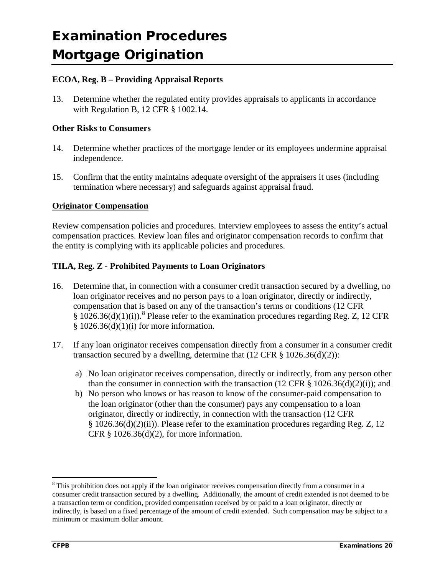### **ECOA, Reg. B – Providing Appraisal Reports**

13. Determine whether the regulated entity provides appraisals to applicants in accordance with Regulation B, 12 CFR § 1002.14.

#### **Other Risks to Consumers**

- 14. Determine whether practices of the mortgage lender or its employees undermine appraisal independence.
- 15. Confirm that the entity maintains adequate oversight of the appraisers it uses (including termination where necessary) and safeguards against appraisal fraud.

#### **Originator Compensation**

Review compensation policies and procedures. Interview employees to assess the entity's actual compensation practices. Review loan files and originator compensation records to confirm that the entity is complying with its applicable policies and procedures.

#### **TILA, Reg. Z - Prohibited Payments to Loan Originators**

- 16. Determine that, in connection with a consumer credit transaction secured by a dwelling, no loan originator receives and no person pays to a loan originator, directly or indirectly, compensation that is based on any of the transaction's terms or conditions (12 CFR § 1026.36(d)(1)(i)).<sup>[8](#page-15-1)</sup> Please refer to the examination procedures regarding Reg. Z, 12 CFR  $§ 1026.36(d)(1)(i)$  for more information.
- 17. If any loan originator receives compensation directly from a consumer in a consumer credit transaction secured by a dwelling, determine that  $(12 \text{ CFR } \S \ 1026.36(d)(2))$ :
	- a) No loan originator receives compensation, directly or indirectly, from any person other than the consumer in connection with the transaction (12 CFR  $\S$  1026.36(d)(2)(i)); and
	- b) No person who knows or has reason to know of the consumer-paid compensation to the loan originator (other than the consumer) pays any compensation to a loan originator, directly or indirectly, in connection with the transaction (12 CFR § 1026.36(d)(2)(ii)). Please refer to the examination procedures regarding Reg. Z, 12 CFR  $§$  1026.36(d)(2), for more information.

<sup>&</sup>lt;sup>8</sup> This prohibition does not apply if the loan originator receives compensation directly from a consumer in a consumer credit transaction secured by a dwelling. Additionally, the amount of credit extended is not deemed to be a transaction term or condition, provided compensation received by or paid to a loan originator, directly or indirectly, is based on a fixed percentage of the amount of credit extended. Such compensation may be subject to a minimum or maximum dollar amount.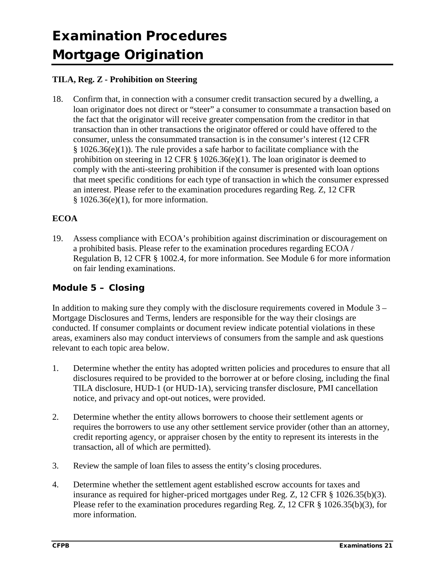## **TILA, Reg. Z - Prohibition on Steering**

18. Confirm that, in connection with a consumer credit transaction secured by a dwelling, a loan originator does not direct or "steer" a consumer to consummate a transaction based on the fact that the originator will receive greater compensation from the creditor in that transaction than in other transactions the originator offered or could have offered to the consumer, unless the consummated transaction is in the consumer's interest (12 CFR § 1026.36(e)(1)). The rule provides a safe harbor to facilitate compliance with the prohibition on steering in 12 CFR § 1026.36(e)(1). The loan originator is deemed to comply with the anti-steering prohibition if the consumer is presented with loan options that meet specific conditions for each type of transaction in which the consumer expressed an interest. Please refer to the examination procedures regarding Reg. Z, 12 CFR § 1026.36(e)(1), for more information.

### **ECOA**

19. Assess compliance with ECOA's prohibition against discrimination or discouragement on a prohibited basis. Please refer to the examination procedures regarding ECOA / Regulation B, 12 CFR § 1002.4, for more information. See Module 6 for more information on fair lending examinations.

### **Module 5 – Closing**

In addition to making sure they comply with the disclosure requirements covered in Module 3 – Mortgage Disclosures and Terms, lenders are responsible for the way their closings are conducted. If consumer complaints or document review indicate potential violations in these areas, examiners also may conduct interviews of consumers from the sample and ask questions relevant to each topic area below.

- 1. Determine whether the entity has adopted written policies and procedures to ensure that all disclosures required to be provided to the borrower at or before closing, including the final TILA disclosure, HUD-1 (or HUD-1A), servicing transfer disclosure, PMI cancellation notice, and privacy and opt-out notices, were provided.
- 2. Determine whether the entity allows borrowers to choose their settlement agents or requires the borrowers to use any other settlement service provider (other than an attorney, credit reporting agency, or appraiser chosen by the entity to represent its interests in the transaction, all of which are permitted).
- 3. Review the sample of loan files to assess the entity's closing procedures.
- 4. Determine whether the settlement agent established escrow accounts for taxes and insurance as required for higher-priced mortgages under Reg. Z, 12 CFR § 1026.35(b)(3). Please refer to the examination procedures regarding Reg. Z, 12 CFR § 1026.35(b)(3), for more information.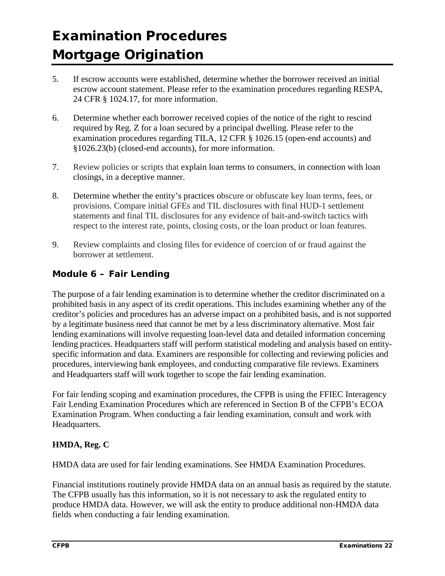- 5. If escrow accounts were established, determine whether the borrower received an initial escrow account statement. Please refer to the examination procedures regarding RESPA, 24 CFR § 1024.17, for more information.
- 6. Determine whether each borrower received copies of the notice of the right to rescind required by Reg. Z for a loan secured by a principal dwelling. Please refer to the examination procedures regarding TILA, 12 CFR § 1026.15 (open-end accounts) and §1026.23(b) (closed-end accounts), for more information.
- 7. Review policies or scripts that explain loan terms to consumers, in connection with loan closings, in a deceptive manner.
- 8. Determine whether the entity's practices obscure or obfuscate key loan terms, fees, or provisions. Compare initial GFEs and TIL disclosures with final HUD-1 settlement statements and final TIL disclosures for any evidence of bait-and-switch tactics with respect to the interest rate, points, closing costs, or the loan product or loan features.
- 9. Review complaints and closing files for evidence of coercion of or fraud against the borrower at settlement.

# **Module 6 – Fair Lending**

The purpose of a fair lending examination is to determine whether the creditor discriminated on a prohibited basis in any aspect of its credit operations. This includes examining whether any of the creditor's policies and procedures has an adverse impact on a prohibited basis, and is not supported by a legitimate business need that cannot be met by a less discriminatory alternative. Most fair lending examinations will involve requesting loan-level data and detailed information concerning lending practices. Headquarters staff will perform statistical modeling and analysis based on entityspecific information and data. Examiners are responsible for collecting and reviewing policies and procedures, interviewing bank employees, and conducting comparative file reviews. Examiners and Headquarters staff will work together to scope the fair lending examination.

For fair lending scoping and examination procedures, the CFPB is using the FFIEC Interagency Fair Lending Examination Procedures which are referenced in Section B of the CFPB's ECOA Examination Program. When conducting a fair lending examination, consult and work with Headquarters.

# **HMDA, Reg. C**

HMDA data are used for fair lending examinations. See HMDA Examination Procedures.

Financial institutions routinely provide HMDA data on an annual basis as required by the statute. The CFPB usually has this information, so it is not necessary to ask the regulated entity to produce HMDA data. However, we will ask the entity to produce additional non-HMDA data fields when conducting a fair lending examination.